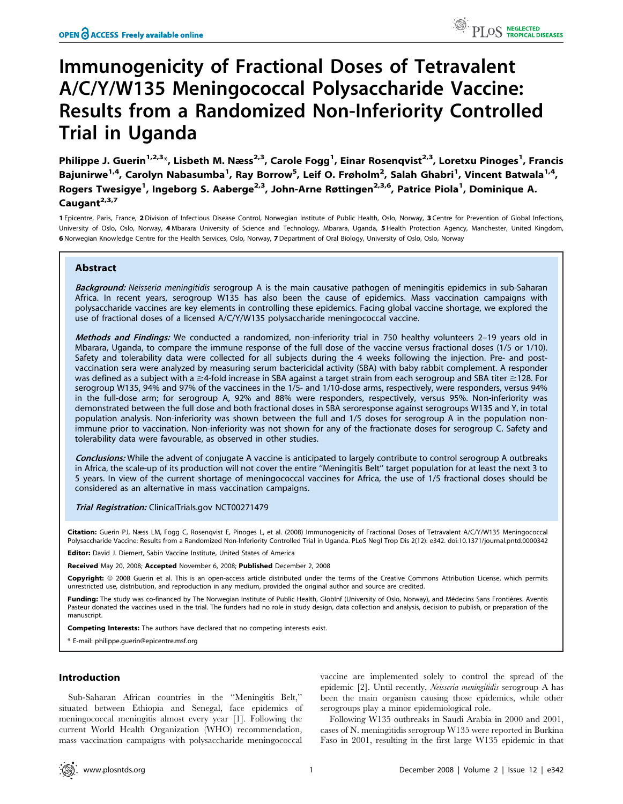# Immunogenicity of Fractional Doses of Tetravalent A/C/Y/W135 Meningococcal Polysaccharide Vaccine: Results from a Randomized Non-Inferiority Controlled Trial in Uganda

Philippe J. Guerin<sup>1,2,3</sup>\*, Lisbeth M. Næss<sup>2,3</sup>, Carole Fogg<sup>1</sup>, Einar Rosenqvist<sup>2,3</sup>, Loretxu Pinoges<sup>1</sup>, Francis Bajunirwe<sup>1,4</sup>, Carolyn Nabasumba<sup>1</sup>, Ray Borrow<sup>5</sup>, Leif O. Frøholm<sup>2</sup>, Salah Ghabri<sup>1</sup>, Vincent Batwala<sup>1,4</sup>, Rogers Twesigye<sup>1</sup>, Ingeborg S. Aaberge<sup>2,3</sup>, John-Arne Røttingen<sup>2,3,6</sup>, Patrice Piola<sup>1</sup>, Dominique A. Caugant $2,3,7$ 

1 Epicentre, Paris, France, 2 Division of Infectious Disease Control, Norwegian Institute of Public Health, Oslo, Norway, 3 Centre for Prevention of Global Infections, University of Oslo, Oslo, Norway, 4 Mbarara University of Science and Technology, Mbarara, Uganda, 5 Health Protection Agency, Manchester, United Kingdom, 6 Norwegian Knowledge Centre for the Health Services, Oslo, Norway, 7Department of Oral Biology, University of Oslo, Oslo, Norway

# Abstract

Background: Neisseria meningitidis serogroup A is the main causative pathogen of meningitis epidemics in sub-Saharan Africa. In recent years, serogroup W135 has also been the cause of epidemics. Mass vaccination campaigns with polysaccharide vaccines are key elements in controlling these epidemics. Facing global vaccine shortage, we explored the use of fractional doses of a licensed A/C/Y/W135 polysaccharide meningococcal vaccine.

Methods and Findings: We conducted a randomized, non-inferiority trial in 750 healthy volunteers 2-19 years old in Mbarara, Uganda, to compare the immune response of the full dose of the vaccine versus fractional doses (1/5 or 1/10). Safety and tolerability data were collected for all subjects during the 4 weeks following the injection. Pre- and postvaccination sera were analyzed by measuring serum bactericidal activity (SBA) with baby rabbit complement. A responder was defined as a subject with a  $\geq$ 4-fold increase in SBA against a target strain from each serogroup and SBA titer  $\geq$ 128. For serogroup W135, 94% and 97% of the vaccinees in the 1/5- and 1/10-dose arms, respectively, were responders, versus 94% in the full-dose arm; for serogroup A, 92% and 88% were responders, respectively, versus 95%. Non-inferiority was demonstrated between the full dose and both fractional doses in SBA seroresponse against serogroups W135 and Y, in total population analysis. Non-inferiority was shown between the full and 1/5 doses for serogroup A in the population nonimmune prior to vaccination. Non-inferiority was not shown for any of the fractionate doses for serogroup C. Safety and tolerability data were favourable, as observed in other studies.

Conclusions: While the advent of conjugate A vaccine is anticipated to largely contribute to control serogroup A outbreaks in Africa, the scale-up of its production will not cover the entire ''Meningitis Belt'' target population for at least the next 3 to 5 years. In view of the current shortage of meningococcal vaccines for Africa, the use of 1/5 fractional doses should be considered as an alternative in mass vaccination campaigns.

Trial Registration: ClinicalTrials.gov NCT00271479

Citation: Guerin PJ, Næss LM, Fogg C, Rosenqvist E, Pinoges L, et al. (2008) Immunogenicity of Fractional Doses of Tetravalent A/C/Y/W135 Meningococcal Polysaccharide Vaccine: Results from a Randomized Non-Inferiority Controlled Trial in Uganda. PLoS Negl Trop Dis 2(12): e342. doi:10.1371/journal.pntd.0000342

Editor: David J. Diemert, Sabin Vaccine Institute, United States of America

Received May 20, 2008; Accepted November 6, 2008; Published December 2, 2008

Copyright: © 2008 Guerin et al. This is an open-access article distributed under the terms of the Creative Commons Attribution License, which permits unrestricted use, distribution, and reproduction in any medium, provided the original author and source are credited.

Funding: The study was co-financed by The Norwegian Institute of Public Health, GlobInf (University of Oslo, Norway), and Médecins Sans Frontières. Aventis Pasteur donated the vaccines used in the trial. The funders had no role in study design, data collection and analysis, decision to publish, or preparation of the manuscript.

Competing Interests: The authors have declared that no competing interests exist.

\* E-mail: philippe.guerin@epicentre.msf.org

# Introduction

Sub-Saharan African countries in the ''Meningitis Belt,'' situated between Ethiopia and Senegal, face epidemics of meningococcal meningitis almost every year [1]. Following the current World Health Organization (WHO) recommendation, mass vaccination campaigns with polysaccharide meningococcal

vaccine are implemented solely to control the spread of the epidemic [2]. Until recently, Neisseria meningitidis serogroup A has been the main organism causing those epidemics, while other serogroups play a minor epidemiological role.

Following W135 outbreaks in Saudi Arabia in 2000 and 2001, cases of N. meningitidis serogroup W135 were reported in Burkina Faso in 2001, resulting in the first large W135 epidemic in that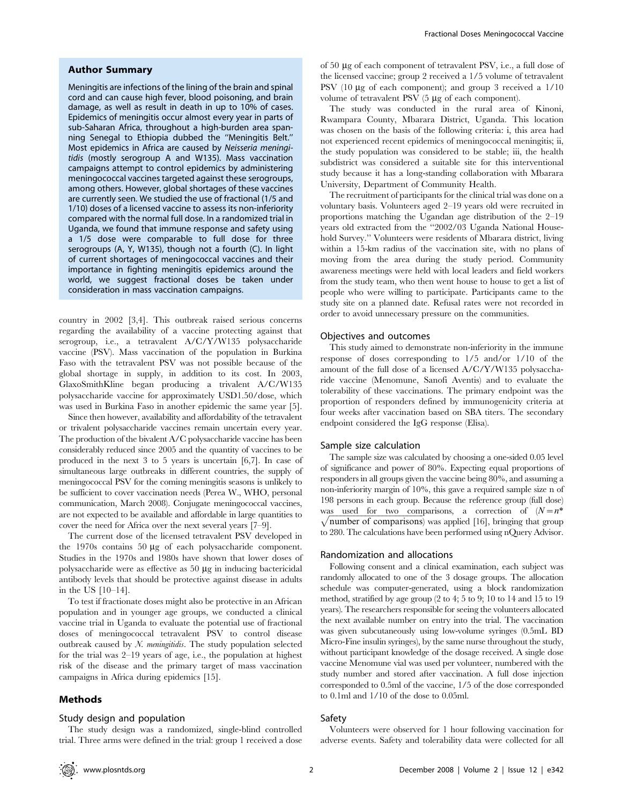## Author Summary

Meningitis are infections of the lining of the brain and spinal cord and can cause high fever, blood poisoning, and brain damage, as well as result in death in up to 10% of cases. Epidemics of meningitis occur almost every year in parts of sub-Saharan Africa, throughout a high-burden area spanning Senegal to Ethiopia dubbed the ''Meningitis Belt.'' Most epidemics in Africa are caused by Neisseria meningitidis (mostly serogroup A and W135). Mass vaccination campaigns attempt to control epidemics by administering meningococcal vaccines targeted against these serogroups, among others. However, global shortages of these vaccines are currently seen. We studied the use of fractional (1/5 and 1/10) doses of a licensed vaccine to assess its non-inferiority compared with the normal full dose. In a randomized trial in Uganda, we found that immune response and safety using a 1/5 dose were comparable to full dose for three serogroups (A, Y, W135), though not a fourth (C). In light of current shortages of meningococcal vaccines and their importance in fighting meningitis epidemics around the world, we suggest fractional doses be taken under consideration in mass vaccination campaigns.

country in 2002 [3,4]. This outbreak raised serious concerns regarding the availability of a vaccine protecting against that serogroup, i.e., a tetravalent A/C/Y/W135 polysaccharide vaccine (PSV). Mass vaccination of the population in Burkina Faso with the tetravalent PSV was not possible because of the global shortage in supply, in addition to its cost. In 2003, GlaxoSmithKline began producing a trivalent A/C/W135 polysaccharide vaccine for approximately USD1.50/dose, which was used in Burkina Faso in another epidemic the same year [5].

Since then however, availability and affordability of the tetravalent or trivalent polysaccharide vaccines remain uncertain every year. The production of the bivalent A/C polysaccharide vaccine has been considerably reduced since 2005 and the quantity of vaccines to be produced in the next 3 to 5 years is uncertain [6,7]. In case of simultaneous large outbreaks in different countries, the supply of meningococcal PSV for the coming meningitis seasons is unlikely to be sufficient to cover vaccination needs (Perea W., WHO, personal communication, March 2008). Conjugate meningococcal vaccines, are not expected to be available and affordable in large quantities to cover the need for Africa over the next several years [7–9].

The current dose of the licensed tetravalent PSV developed in the  $1970s$  contains  $50 \mu g$  of each polysaccharide component. Studies in the 1970s and 1980s have shown that lower doses of polysaccharide were as effective as  $50 \mu g$  in inducing bactericidal antibody levels that should be protective against disease in adults in the US [10–14].

To test if fractionate doses might also be protective in an African population and in younger age groups, we conducted a clinical vaccine trial in Uganda to evaluate the potential use of fractional doses of meningococcal tetravalent PSV to control disease outbreak caused by  $N$ . *meningitidis*. The study population selected for the trial was 2–19 years of age, i.e., the population at highest risk of the disease and the primary target of mass vaccination campaigns in Africa during epidemics [15].

## Methods

#### Study design and population

The study design was a randomized, single-blind controlled trial. Three arms were defined in the trial: group 1 received a dose

of 50 mg of each component of tetravalent PSV, i.e., a full dose of the licensed vaccine; group 2 received a 1/5 volume of tetravalent PSV (10  $\mu$ g of each component); and group 3 received a  $1/10$ volume of tetravalent PSV (5 µg of each component).

The study was conducted in the rural area of Kinoni, Rwampara County, Mbarara District, Uganda. This location was chosen on the basis of the following criteria: i, this area had not experienced recent epidemics of meningococcal meningitis; ii, the study population was considered to be stable; iii, the health subdistrict was considered a suitable site for this interventional study because it has a long-standing collaboration with Mbarara University, Department of Community Health.

The recruitment of participants for the clinical trial was done on a voluntary basis. Volunteers aged 2–19 years old were recruited in proportions matching the Ugandan age distribution of the 2–19 years old extracted from the ''2002/03 Uganda National Household Survey.'' Volunteers were residents of Mbarara district, living within a 15-km radius of the vaccination site, with no plans of moving from the area during the study period. Community awareness meetings were held with local leaders and field workers from the study team, who then went house to house to get a list of people who were willing to participate. Participants came to the study site on a planned date. Refusal rates were not recorded in order to avoid unnecessary pressure on the communities.

## Objectives and outcomes

This study aimed to demonstrate non-inferiority in the immune response of doses corresponding to 1/5 and/or 1/10 of the amount of the full dose of a licensed A/C/Y/W135 polysaccharide vaccine (Menomune, Sanofi Aventis) and to evaluate the tolerability of these vaccinations. The primary endpoint was the proportion of responders defined by immunogenicity criteria at four weeks after vaccination based on SBA titers. The secondary endpoint considered the IgG response (Elisa).

#### Sample size calculation

The sample size was calculated by choosing a one-sided 0.05 level of significance and power of 80%. Expecting equal proportions of responders in all groups given the vaccine being 80%, and assuming a non-inferiority margin of 10%, this gave a required sample size n of 198 persons in each group. Because the reference group (full dose) was used for two comparisons, a correction of  $(N=n^*)$  $\sqrt{\text{number of comparisons}}$  was applied [16], bringing that group to 280. The calculations have been performed using nQuery Advisor.

#### Randomization and allocations

Following consent and a clinical examination, each subject was randomly allocated to one of the 3 dosage groups. The allocation schedule was computer-generated, using a block randomization method, stratified by age group (2 to 4; 5 to 9; 10 to 14 and 15 to 19 years). The researchers responsible for seeing the volunteers allocated the next available number on entry into the trial. The vaccination was given subcutaneously using low-volume syringes (0.5mL BD Micro-Fine insulin syringes), by the same nurse throughout the study, without participant knowledge of the dosage received. A single dose vaccine Menomune vial was used per volunteer, numbered with the study number and stored after vaccination. A full dose injection corresponded to 0.5ml of the vaccine, 1/5 of the dose corresponded to 0.1ml and 1/10 of the dose to 0.05ml.

## Safety

Volunteers were observed for 1 hour following vaccination for adverse events. Safety and tolerability data were collected for all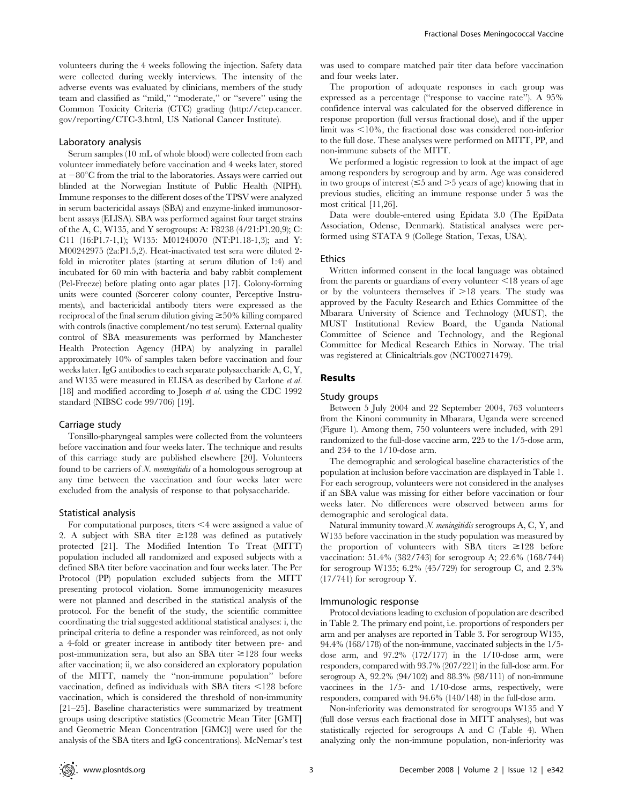volunteers during the 4 weeks following the injection. Safety data were collected during weekly interviews. The intensity of the adverse events was evaluated by clinicians, members of the study team and classified as ''mild,'' ''moderate,'' or ''severe'' using the Common Toxicity Criteria (CTC) grading (http://ctep.cancer. gov/reporting/CTC-3.html, US National Cancer Institute).

# Laboratory analysis

Serum samples (10 mL of whole blood) were collected from each volunteer immediately before vaccination and 4 weeks later, stored at  $-80^{\circ}$ C from the trial to the laboratories. Assays were carried out blinded at the Norwegian Institute of Public Health (NIPH). Immune responses to the different doses of the TPSV were analyzed in serum bactericidal assays (SBA) and enzyme-linked immunosorbent assays (ELISA). SBA was performed against four target strains of the A, C, W135, and Y serogroups: A: F8238 (4/21:P1.20,9); C: C11 (16:P1.7-1,1); W135: M01240070 (NT:P1.18-1,3); and Y: M00242975 (2a:P1.5,2). Heat-inactivated test sera were diluted 2 fold in microtiter plates (starting at serum dilution of 1:4) and incubated for 60 min with bacteria and baby rabbit complement (Pel-Freeze) before plating onto agar plates [17]. Colony-forming units were counted (Sorcerer colony counter, Perceptive Instruments), and bactericidal antibody titers were expressed as the reciprocal of the final serum dilution giving  $\geq$ 50% killing compared with controls (inactive complement/no test serum). External quality control of SBA measurements was performed by Manchester Health Protection Agency (HPA) by analyzing in parallel approximately 10% of samples taken before vaccination and four weeks later. IgG antibodies to each separate polysaccharide A, C, Y, and W135 were measured in ELISA as described by Carlone et al. [18] and modified according to Joseph et al. using the CDC 1992 standard (NIBSC code 99/706) [19].

#### Carriage study

Tonsillo-pharyngeal samples were collected from the volunteers before vaccination and four weeks later. The technique and results of this carriage study are published elsewhere [20]. Volunteers found to be carriers of N. *meningitidis* of a homologous serogroup at any time between the vaccination and four weeks later were excluded from the analysis of response to that polysaccharide.

#### Statistical analysis

For computational purposes, titers  $\leq 4$  were assigned a value of 2. A subject with SBA titer  $\geq 128$  was defined as putatively protected [21]. The Modified Intention To Treat (MITT) population included all randomized and exposed subjects with a defined SBA titer before vaccination and four weeks later. The Per Protocol (PP) population excluded subjects from the MITT presenting protocol violation. Some immunogenicity measures were not planned and described in the statistical analysis of the protocol. For the benefit of the study, the scientific committee coordinating the trial suggested additional statistical analyses: i, the principal criteria to define a responder was reinforced, as not only a 4-fold or greater increase in antibody titer between pre- and post-immunization sera, but also an SBA titer  $\geq$ 128 four weeks after vaccination; ii, we also considered an exploratory population of the MITT, namely the ''non-immune population'' before vaccination, defined as individuals with SBA titers  $\leq$ 128 before vaccination, which is considered the threshold of non-immunity [21–25]. Baseline characteristics were summarized by treatment groups using descriptive statistics (Geometric Mean Titer [GMT] and Geometric Mean Concentration [GMC)] were used for the analysis of the SBA titers and IgG concentrations). McNemar's test was used to compare matched pair titer data before vaccination and four weeks later.

The proportion of adequate responses in each group was expressed as a percentage (''response to vaccine rate''). A 95% confidence interval was calculated for the observed difference in response proportion (full versus fractional dose), and if the upper limit was  $\leq 10\%$ , the fractional dose was considered non-inferior to the full dose. These analyses were performed on MITT, PP, and non-immune subsets of the MITT.

We performed a logistic regression to look at the impact of age among responders by serogroup and by arm. Age was considered in two groups of interest  $(\leq 5$  and  $> 5$  years of age) knowing that in previous studies, eliciting an immune response under 5 was the most critical [11,26].

Data were double-entered using Epidata 3.0 (The EpiData Association, Odense, Denmark). Statistical analyses were performed using STATA 9 (College Station, Texas, USA).

#### Ethics

Written informed consent in the local language was obtained from the parents or guardians of every volunteer  $\leq 18$  years of age or by the volunteers themselves if  $>18$  years. The study was approved by the Faculty Research and Ethics Committee of the Mbarara University of Science and Technology (MUST), the MUST Institutional Review Board, the Uganda National Committee of Science and Technology, and the Regional Committee for Medical Research Ethics in Norway. The trial was registered at Clinicaltrials.gov (NCT00271479).

## Results

#### Study groups

Between 5 July 2004 and 22 September 2004, 763 volunteers from the Kinoni community in Mbarara, Uganda were screened (Figure 1). Among them, 750 volunteers were included, with 291 randomized to the full-dose vaccine arm, 225 to the 1/5-dose arm, and 234 to the 1/10-dose arm.

The demographic and serological baseline characteristics of the population at inclusion before vaccination are displayed in Table 1. For each serogroup, volunteers were not considered in the analyses if an SBA value was missing for either before vaccination or four weeks later. No differences were observed between arms for demographic and serological data.

Natural immunity toward N. meningitidis serogroups A, C, Y, and W135 before vaccination in the study population was measured by the proportion of volunteers with SBA titers  $\geq 128$  before vaccination: 51.4% (382/743) for serogroup A; 22.6% (168/744) for serogroup W135;  $6.2\%$  (45/729) for serogroup C, and  $2.3\%$ (17/741) for serogroup Y.

#### Immunologic response

Protocol deviations leading to exclusion of population are described in Table 2. The primary end point, i.e. proportions of responders per arm and per analyses are reported in Table 3. For serogroup W135, 94.4% (168/178) of the non-immune, vaccinated subjects in the 1/5 dose arm, and  $97.2\%$   $(172/177)$  in the  $1/10$ -dose arm, were responders, compared with 93.7% (207/221) in the full-dose arm. For serogroup A, 92.2% (94/102) and 88.3% (98/111) of non-immune vaccinees in the 1/5- and 1/10-dose arms, respectively, were responders, compared with 94.6% (140/148) in the full-dose arm.

Non-inferiority was demonstrated for serogroups W135 and Y (full dose versus each fractional dose in MITT analyses), but was statistically rejected for serogroups A and C (Table 4). When analyzing only the non-immune population, non-inferiority was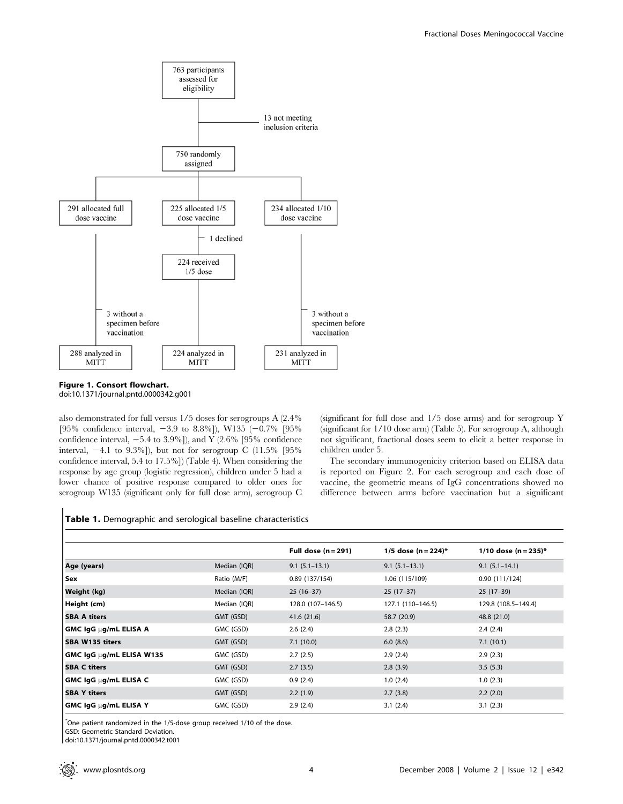

Figure 1. Consort flowchart. doi:10.1371/journal.pntd.0000342.g001

also demonstrated for full versus 1/5 doses for serogroups A (2.4% [95% confidence interval,  $-3.9$  to 8.8%]), W135 ( $-0.7\%$  [95% confidence interval,  $-5.4$  to 3.9%]), and Y (2.6% [95% confidence interval,  $-4.1$  to 9.3%]), but not for serogroup C (11.5% [95% confidence interval, 5.4 to 17.5%]) (Table 4). When considering the response by age group (logistic regression), children under 5 had a lower chance of positive response compared to older ones for serogroup W135 (significant only for full dose arm), serogroup C (significant for full dose and 1/5 dose arms) and for serogroup Y (significant for 1/10 dose arm) (Table 5). For serogroup A, although not significant, fractional doses seem to elicit a better response in children under 5.

The secondary immunogenicity criterion based on ELISA data is reported on Figure 2. For each serogroup and each dose of vaccine, the geometric means of IgG concentrations showed no difference between arms before vaccination but a significant

## Table 1. Demographic and serological baseline characteristics

|                              |              | Full dose $(n=291)$ | 1/5 dose (n = 224)* | 1/10 dose $(n = 235)^*$ |
|------------------------------|--------------|---------------------|---------------------|-------------------------|
| Age (years)                  | Median (IQR) | $9.1(5.1 - 13.1)$   | $9.1(5.1 - 13.1)$   | $9.1(5.1 - 14.1)$       |
| Sex                          | Ratio (M/F)  | 0.89(137/154)       | 1.06 (115/109)      | 0.90(111/124)           |
| Weight (kg)                  | Median (IQR) | $25(16-37)$         | $25(17-37)$         | $25(17-39)$             |
| Height (cm)                  | Median (IQR) | 128.0 (107-146.5)   | 127.1 (110-146.5)   | 129.8 (108.5-149.4)     |
| <b>SBA A titers</b>          | GMT (GSD)    | 41.6 (21.6)         | 58.7 (20.9)         | 48.8 (21.0)             |
| <b>GMC IgG µg/mL ELISA A</b> | GMC (GSD)    | 2.6(2.4)            | 2.8(2.3)            | 2.4(2.4)                |
| <b>SBA W135 titers</b>       | GMT (GSD)    | 7.1(10.0)           | 6.0(8.6)            | 7.1(10.1)               |
| GMC IgG µg/mL ELISA W135     | GMC (GSD)    | 2.7(2.5)            | 2.9(2.4)            | 2.9(2.3)                |
| <b>SBA C titers</b>          | GMT (GSD)    | 2.7(3.5)            | 2.8(3.9)            | 3.5(5.3)                |
| GMC IgG µg/mL ELISA C        | GMC (GSD)    | 0.9(2.4)            | 1.0(2.4)            | 1.0(2.3)                |
| <b>SBA Y titers</b>          | GMT (GSD)    | 2.2(1.9)            | 2.7(3.8)            | 2.2(2.0)                |
| <b>GMC IgG ug/mL ELISA Y</b> | GMC (GSD)    | 2.9(2.4)            | 3.1(2.4)            | 3.1(2.3)                |

\* One patient randomized in the 1/5-dose group received 1/10 of the dose.

GSD: Geometric Standard Deviation.

doi:10.1371/journal.pntd.0000342.t001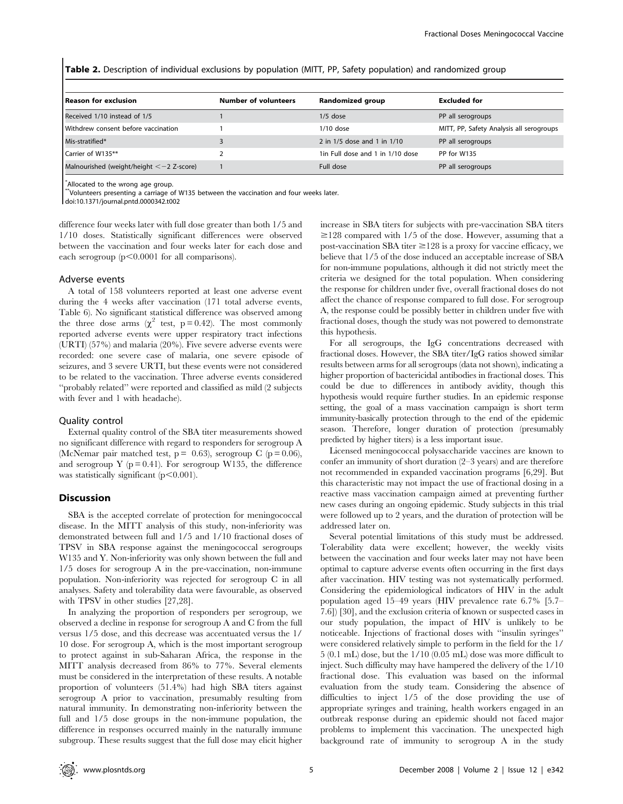Table 2. Description of individual exclusions by population (MITT, PP, Safety population) and randomized group

| Reason for exclusion                       | <b>Number of volunteers</b> | Randomized group                 | Excluded for                             |
|--------------------------------------------|-----------------------------|----------------------------------|------------------------------------------|
| Received 1/10 instead of 1/5               |                             | $1/5$ dose                       | PP all serogroups                        |
| Withdrew consent before vaccination        |                             | $1/10$ dose                      | MITT, PP, Safety Analysis all serogroups |
| Mis-stratified*                            |                             | 2 in 1/5 dose and 1 in 1/10      | PP all serogroups                        |
| Carrier of W135**                          |                             | 1in Full dose and 1 in 1/10 dose | PP for W135                              |
| Malnourished (weight/height $<-2$ Z-score) |                             | Full dose                        | PP all serogroups                        |

\* Allocated to the wrong age group.

\*\*Volunteers presenting a carriage of W135 between the vaccination and four weeks later.

doi:10.1371/journal.pntd.0000342.t002

difference four weeks later with full dose greater than both 1/5 and 1/10 doses. Statistically significant differences were observed between the vaccination and four weeks later for each dose and each serogroup  $(p<0.0001$  for all comparisons).

#### Adverse events

A total of 158 volunteers reported at least one adverse event during the 4 weeks after vaccination (171 total adverse events, Table 6). No significant statistical difference was observed among the three dose arms  $(\chi^2 \text{ test}, p=0.42)$ . The most commonly reported adverse events were upper respiratory tract infections (URTI) (57%) and malaria (20%). Five severe adverse events were recorded: one severe case of malaria, one severe episode of seizures, and 3 severe URTI, but these events were not considered to be related to the vaccination. Three adverse events considered ''probably related'' were reported and classified as mild (2 subjects with fever and 1 with headache).

## Quality control

External quality control of the SBA titer measurements showed no significant difference with regard to responders for serogroup A (McNemar pair matched test,  $p = 0.63$ ), serogroup C (p = 0.06), and serogroup Y ( $p = 0.41$ ). For serogroup W135, the difference was statistically significant  $(p<0.001)$ .

## Discussion

SBA is the accepted correlate of protection for meningococcal disease. In the MITT analysis of this study, non-inferiority was demonstrated between full and 1/5 and 1/10 fractional doses of TPSV in SBA response against the meningococcal serogroups W135 and Y. Non-inferiority was only shown between the full and 1/5 doses for serogroup A in the pre-vaccination, non-immune population. Non-inferiority was rejected for serogroup C in all analyses. Safety and tolerability data were favourable, as observed with TPSV in other studies [27,28].

In analyzing the proportion of responders per serogroup, we observed a decline in response for serogroup A and C from the full versus 1/5 dose, and this decrease was accentuated versus the 1/ 10 dose. For serogroup A, which is the most important serogroup to protect against in sub-Saharan Africa, the response in the MITT analysis decreased from 86% to 77%. Several elements must be considered in the interpretation of these results. A notable proportion of volunteers (51.4%) had high SBA titers against serogroup A prior to vaccination, presumably resulting from natural immunity. In demonstrating non-inferiority between the full and 1/5 dose groups in the non-immune population, the difference in responses occurred mainly in the naturally immune subgroup. These results suggest that the full dose may elicit higher

increase in SBA titers for subjects with pre-vaccination SBA titers  $\geq$ 128 compared with 1/5 of the dose. However, assuming that a post-vaccination SBA titer  $\geq$  128 is a proxy for vaccine efficacy, we believe that 1/5 of the dose induced an acceptable increase of SBA for non-immune populations, although it did not strictly meet the criteria we designed for the total population. When considering the response for children under five, overall fractional doses do not affect the chance of response compared to full dose. For serogroup A, the response could be possibly better in children under five with fractional doses, though the study was not powered to demonstrate this hypothesis.

For all serogroups, the IgG concentrations decreased with fractional doses. However, the SBA titer/IgG ratios showed similar results between arms for all serogroups (data not shown), indicating a higher proportion of bactericidal antibodies in fractional doses. This could be due to differences in antibody avidity, though this hypothesis would require further studies. In an epidemic response setting, the goal of a mass vaccination campaign is short term immunity-basically protection through to the end of the epidemic season. Therefore, longer duration of protection (presumably predicted by higher titers) is a less important issue.

Licensed meningococcal polysaccharide vaccines are known to confer an immunity of short duration (2–3 years) and are therefore not recommended in expanded vaccination programs [6,29]. But this characteristic may not impact the use of fractional dosing in a reactive mass vaccination campaign aimed at preventing further new cases during an ongoing epidemic. Study subjects in this trial were followed up to 2 years, and the duration of protection will be addressed later on.

Several potential limitations of this study must be addressed. Tolerability data were excellent; however, the weekly visits between the vaccination and four weeks later may not have been optimal to capture adverse events often occurring in the first days after vaccination. HIV testing was not systematically performed. Considering the epidemiological indicators of HIV in the adult population aged 15–49 years (HIV prevalence rate 6.7% [5.7– 7.6]) [30], and the exclusion criteria of known or suspected cases in our study population, the impact of HIV is unlikely to be noticeable. Injections of fractional doses with ''insulin syringes'' were considered relatively simple to perform in the field for the 1/ 5 (0.1 mL) dose, but the 1/10 (0.05 mL) dose was more difficult to inject. Such difficulty may have hampered the delivery of the 1/10 fractional dose. This evaluation was based on the informal evaluation from the study team. Considering the absence of difficulties to inject 1/5 of the dose providing the use of appropriate syringes and training, health workers engaged in an outbreak response during an epidemic should not faced major problems to implement this vaccination. The unexpected high background rate of immunity to serogroup A in the study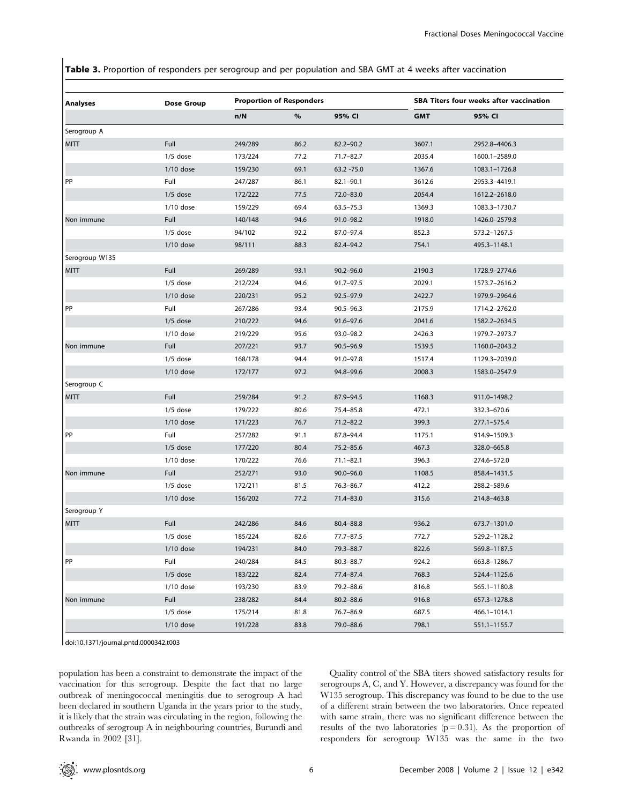Table 3. Proportion of responders per serogroup and per population and SBA GMT at 4 weeks after vaccination

| <b>Analyses</b> | Dose Group  |         | <b>Proportion of Responders</b> |               |            | <b>SBA Titers four weeks after vaccination</b> |  |  |
|-----------------|-------------|---------|---------------------------------|---------------|------------|------------------------------------------------|--|--|
|                 |             | n/N     | $\%$                            | 95% CI        | <b>GMT</b> | 95% CI                                         |  |  |
| Serogroup A     |             |         |                                 |               |            |                                                |  |  |
| MITT            | Full        | 249/289 | 86.2                            | $82.2 - 90.2$ | 3607.1     | 2952.8-4406.3                                  |  |  |
|                 | $1/5$ dose  | 173/224 | 77.2                            | $71.7 - 82.7$ | 2035.4     | 1600.1-2589.0                                  |  |  |
|                 | $1/10$ dose | 159/230 | 69.1                            | 63.2 -75.0    | 1367.6     | 1083.1-1726.8                                  |  |  |
| PP              | Full        | 247/287 | 86.1                            | $82.1 - 90.1$ | 3612.6     | 2953.3-4419.1                                  |  |  |
|                 | $1/5$ dose  | 172/222 | 77.5                            | $72.0 - 83.0$ | 2054.4     | 1612.2-2618.0                                  |  |  |
|                 | $1/10$ dose | 159/229 | 69.4                            | $63.5 - 75.3$ | 1369.3     | 1083.3-1730.7                                  |  |  |
| Non immune      | Full        | 140/148 | 94.6                            | $91.0 - 98.2$ | 1918.0     | 1426.0-2579.8                                  |  |  |
|                 | $1/5$ dose  | 94/102  | 92.2                            | 87.0-97.4     | 852.3      | 573.2-1267.5                                   |  |  |
|                 | $1/10$ dose | 98/111  | 88.3                            | 82.4-94.2     | 754.1      | 495.3-1148.1                                   |  |  |
| Serogroup W135  |             |         |                                 |               |            |                                                |  |  |
| <b>MITT</b>     | Full        | 269/289 | 93.1                            | $90.2 - 96.0$ | 2190.3     | 1728.9-2774.6                                  |  |  |
|                 | $1/5$ dose  | 212/224 | 94.6                            | $91.7 - 97.5$ | 2029.1     | 1573.7-2616.2                                  |  |  |
|                 | $1/10$ dose | 220/231 | 95.2                            | $92.5 - 97.9$ | 2422.7     | 1979.9-2964.6                                  |  |  |
| PP              | Full        | 267/286 | 93.4                            | $90.5 - 96.3$ | 2175.9     | 1714.2-2762.0                                  |  |  |
|                 | $1/5$ dose  | 210/222 | 94.6                            | $91.6 - 97.6$ | 2041.6     | 1582.2-2634.5                                  |  |  |
|                 | $1/10$ dose | 219/229 | 95.6                            | 93.0-98.2     | 2426.3     | 1979.7-2973.7                                  |  |  |
| Non immune      | Full        | 207/221 | 93.7                            | $90.5 - 96.9$ | 1539.5     | 1160.0-2043.2                                  |  |  |
|                 | $1/5$ dose  | 168/178 | 94.4                            | $91.0 - 97.8$ | 1517.4     | 1129.3-2039.0                                  |  |  |
|                 | $1/10$ dose | 172/177 | 97.2                            | 94.8-99.6     | 2008.3     | 1583.0-2547.9                                  |  |  |
| Serogroup C     |             |         |                                 |               |            |                                                |  |  |
| <b>MITT</b>     | Full        | 259/284 | 91.2                            | 87.9-94.5     | 1168.3     | 911.0-1498.2                                   |  |  |
|                 | $1/5$ dose  | 179/222 | 80.6                            | 75.4-85.8     | 472.1      | 332.3-670.6                                    |  |  |
|                 | $1/10$ dose | 171/223 | 76.7                            | $71.2 - 82.2$ | 399.3      | 277.1-575.4                                    |  |  |
| PP              | Full        | 257/282 | 91.1                            | 87.8-94.4     | 1175.1     | 914.9-1509.3                                   |  |  |
|                 | $1/5$ dose  | 177/220 | 80.4                            | $75.2 - 85.6$ | 467.3      | 328.0-665.8                                    |  |  |
|                 | $1/10$ dose | 170/222 | 76.6                            | $71.1 - 82.1$ | 396.3      | 274.6-572.0                                    |  |  |
| Non immune      | Full        | 252/271 | 93.0                            | $90.0 - 96.0$ | 1108.5     | 858.4-1431.5                                   |  |  |
|                 | $1/5$ dose  | 172/211 | 81.5                            | $76.3 - 86.7$ | 412.2      | 288.2-589.6                                    |  |  |
|                 | $1/10$ dose | 156/202 | 77.2                            | $71.4 - 83.0$ | 315.6      | 214.8-463.8                                    |  |  |
| Serogroup Y     |             |         |                                 |               |            |                                                |  |  |
| <b>MITT</b>     | Full        | 242/286 | 84.6                            | 80.4-88.8     | 936.2      | 673.7-1301.0                                   |  |  |
|                 | $1/5$ dose  | 185/224 | 82.6                            | $77.7 - 87.5$ | 772.7      | 529.2-1128.2                                   |  |  |
|                 | $1/10$ dose | 194/231 | 84.0                            | 79.3-88.7     | 822.6      | 569.8-1187.5                                   |  |  |
| PP              | Full        | 240/284 | 84.5                            | $80.3 - 88.7$ | 924.2      | 663.8-1286.7                                   |  |  |
|                 | $1/5$ dose  | 183/222 | 82.4                            | 77.4-87.4     | 768.3      | 524.4-1125.6                                   |  |  |
|                 | $1/10$ dose | 193/230 | 83.9                            | 79.2-88.6     | 816.8      | 565.1-1180.8                                   |  |  |
| Non immune      | Full        | 238/282 | 84.4                            | $80.2 - 88.6$ | 916.8      | 657.3-1278.8                                   |  |  |
|                 | $1/5$ dose  | 175/214 | 81.8                            | 76.7-86.9     | 687.5      | 466.1-1014.1                                   |  |  |
|                 | $1/10$ dose | 191/228 | 83.8                            | 79.0-88.6     | 798.1      | 551.1-1155.7                                   |  |  |

doi:10.1371/journal.pntd.0000342.t003

population has been a constraint to demonstrate the impact of the vaccination for this serogroup. Despite the fact that no large outbreak of meningococcal meningitis due to serogroup A had been declared in southern Uganda in the years prior to the study, it is likely that the strain was circulating in the region, following the outbreaks of serogroup A in neighbouring countries, Burundi and Rwanda in 2002 [31].

Quality control of the SBA titers showed satisfactory results for serogroups A, C, and Y. However, a discrepancy was found for the W135 serogroup. This discrepancy was found to be due to the use of a different strain between the two laboratories. Once repeated with same strain, there was no significant difference between the results of the two laboratories  $(p=0.31)$ . As the proportion of responders for serogroup W135 was the same in the two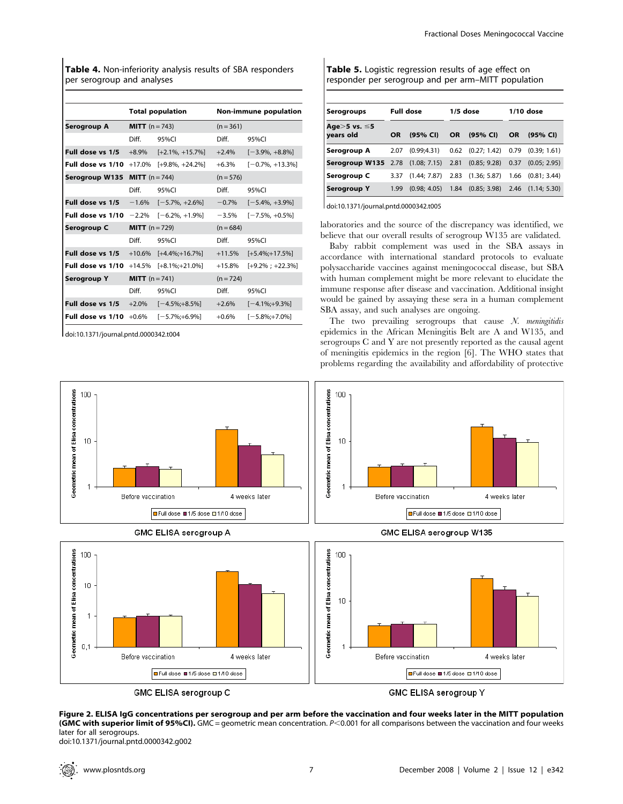Table 4. Non-inferiority analysis results of SBA responders per serogroup and analyses

|                   | <b>Total population</b>   |                     | <b>Non-immune population</b> |                      |  |
|-------------------|---------------------------|---------------------|------------------------------|----------------------|--|
| Serogroup A       | <b>MITT</b> ( $n = 743$ ) |                     | $(n = 361)$                  |                      |  |
|                   | Diff.                     | 95%CI               | Diff.                        | 95%CI                |  |
| Full dose vs 1/5  | $+8.9\%$                  | $[-2.1\%, +15.7\%]$ | $+2.4%$                      | $[-3.9\%, +8.8\%]$   |  |
| Full dose vs 1/10 | $+17.0%$                  | $[-9.8\%, +24.2\%]$ | $+6.3%$                      | $[-0.7\%, +13.3\%]$  |  |
| Serogroup W135    | <b>MITT</b> $(n = 744)$   |                     | $(n = 576)$                  |                      |  |
|                   | Diff.                     | 95%CI               | Diff.                        | 95%CI                |  |
| Full dose vs 1/5  | $-1.6%$                   | $[-5.7\%, +2.6\%]$  | $-0.7\%$                     | $[-5.4\%, +3.9\%]$   |  |
| Full dose vs 1/10 | $-2.2%$                   | $[-6.2\% +1.9\%]$   | $-3.5%$                      | $[-7.5\%, +0.5\%]$   |  |
| Serogroup C       | <b>MITT</b> $(n = 729)$   |                     | $(n = 684)$                  |                      |  |
|                   | Diff.                     | 95%CI               | Diff.                        | 95%CI                |  |
| Full dose vs 1/5  | $+10.6%$                  | $[-4.4\%]+16.7\%]$  | $+11.5%$                     | $[-5.4\%;+17.5\%]$   |  |
| Full dose vs 1/10 | $+14.5%$                  | $[-8.1\%;+21.0\%]$  | $+15.8%$                     | $[-9.2\% : +22.3\%]$ |  |
| Serogroup Y       | <b>MITT</b> $(n = 741)$   |                     | $(n = 724)$                  |                      |  |
|                   | Diff.                     | 95%CI               | Diff.                        | 95%CI                |  |
| Full dose vs 1/5  | $+2.0%$                   | $[-4.5\%;+8.5\%]$   | $+2.6%$                      | $[-4.1\%; +9.3\%]$   |  |
| Full dose vs 1/10 | $+0.6\%$                  | $[-5.7\%;+6.9\%]$   | $+0.6\%$                     | $[-5.8\%; +7.0\%]$   |  |

doi:10.1371/journal.pntd.0000342.t004

| Table 5. Logistic regression results of age effect on |  |
|-------------------------------------------------------|--|
| responder per serogroup and per arm–MITT population   |  |

| Serogroups                              | <b>Full dose</b>      |              | 1/5 dose |                                     | 1/10 dose |                       |
|-----------------------------------------|-----------------------|--------------|----------|-------------------------------------|-----------|-----------------------|
| Age>5 vs. ≤5<br>years old               | <b>OR</b><br>(95% CI) |              | OR.      | (95% CI)                            | <b>OR</b> | (95% CI)              |
| Serogroup A                             | 2.07                  | (0.99:4.31)  |          | $0.62$ $(0.27; 1.42)$               |           | $0.79$ $(0.39; 1.61)$ |
| <b>Serogroup W135</b> 2.78 (1.08; 7.15) |                       |              | 2.81     | (0.85; 9.28)                        | 0.37      | (0.05; 2.95)          |
| Serogroup C                             | 3.37                  | (1.44; 7.87) |          | 2.83 (1.36; 5.87)                   |           | $1.66$ $(0.81; 3.44)$ |
| Serogroup Y                             | 1.99                  | (0.98; 4.05) |          | 1.84 (0.85; 3.98) 2.46 (1.14; 5.30) |           |                       |

doi:10.1371/journal.pntd.0000342.t005

laboratories and the source of the discrepancy was identified, we believe that our overall results of serogroup W135 are validated.

Baby rabbit complement was used in the SBA assays in accordance with international standard protocols to evaluate polysaccharide vaccines against meningococcal disease, but SBA with human complement might be more relevant to elucidate the immune response after disease and vaccination. Additional insight would be gained by assaying these sera in a human complement SBA assay, and such analyses are ongoing.

The two prevailing serogroups that cause  $N$ . *meningitidis* epidemics in the African Meningitis Belt are A and W135, and serogroups C and Y are not presently reported as the causal agent of meningitis epidemics in the region [6]. The WHO states that problems regarding the availability and affordability of protective



GMC ELISA serogroup C

GMC ELISA serogroup Y

Figure 2. ELISA IgG concentrations per serogroup and per arm before the vaccination and four weeks later in the MITT population (GMC with superior limit of 95%CI). GMC = geometric mean concentration.  $P<0.001$  for all comparisons between the vaccination and four weeks later for all serogroups.

doi:10.1371/journal.pntd.0000342.g002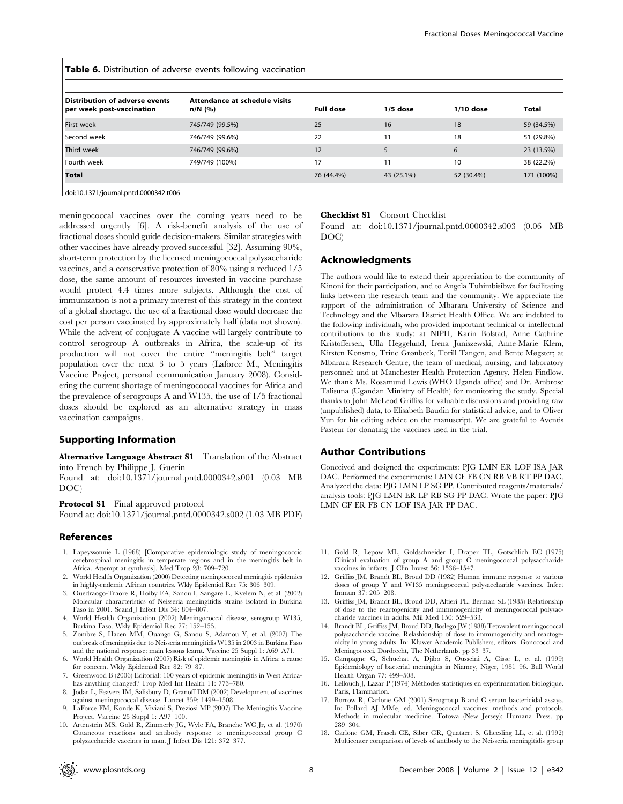Table 6. Distribution of adverse events following vaccination

| Distribution of adverse events<br>per week post-vaccination | Attendance at schedule visits<br>n/N (%) | <b>Full dose</b> | $1/5$ dose | $1/10$ dose | Total      |
|-------------------------------------------------------------|------------------------------------------|------------------|------------|-------------|------------|
| First week                                                  | 745/749 (99.5%)                          | 25               | 16         | 18          | 59 (34.5%) |
| Second week                                                 | 746/749 (99.6%)                          | 22               | 11         | 18          | 51 (29.8%) |
| Third week                                                  | 746/749 (99.6%)                          | 12               |            | 6           | 23 (13.5%) |
| Fourth week                                                 | 749/749 (100%)                           | 17               |            | 10          | 38 (22.2%) |
| <b>Total</b>                                                |                                          | 76 (44.4%)       | 43 (25.1%) | 52 (30.4%)  | 171 (100%) |

doi:10.1371/journal.pntd.0000342.t006

meningococcal vaccines over the coming years need to be addressed urgently [6]. A risk-benefit analysis of the use of fractional doses should guide decision-makers. Similar strategies with other vaccines have already proved successful [32]. Assuming 90%, short-term protection by the licensed meningococcal polysaccharide vaccines, and a conservative protection of 80% using a reduced 1/5 dose, the same amount of resources invested in vaccine purchase would protect 4.4 times more subjects. Although the cost of immunization is not a primary interest of this strategy in the context of a global shortage, the use of a fractional dose would decrease the cost per person vaccinated by approximately half (data not shown). While the advent of conjugate A vaccine will largely contribute to control serogroup A outbreaks in Africa, the scale-up of its production will not cover the entire ''meningitis belt'' target population over the next 3 to 5 years (Laforce M., Meningitis Vaccine Project, personal communication January 2008). Considering the current shortage of meningococcal vaccines for Africa and the prevalence of serogroups A and W135, the use of 1/5 fractional doses should be explored as an alternative strategy in mass vaccination campaigns.

# Supporting Information

## Alternative Language Abstract S1 Translation of the Abstract into French by Philippe J. Guerin

Found at: doi:10.1371/journal.pntd.0000342.s001 (0.03 MB DOC)

Protocol S1 Final approved protocol

Found at: doi:10.1371/journal.pntd.0000342.s002 (1.03 MB PDF)

#### References

- 1. Lapeyssonnie L (1968) [Comparative epidemiologic study of meningococcic cerebrospinal meningitis in temperate regions and in the meningitis belt in Africa. Attempt at synthesis]. Med Trop 28: 709–720.
- 2. World Health Organization (2000) Detecting meningococcal meningitis epidemics in highly-endemic African countries. Wkly Epidemiol Rec 75: 306–309.
- 3. Ouedraogo-Traore R, Hoiby EA, Sanou I, Sangare L, Kyelem N, et al. (2002) Molecular characteristics of Neisseria meningitidis strains isolated in Burkina Faso in 2001. Scand J Infect Dis 34: 804–807.
- 4. World Health Organization (2002) Meningococcal disease, serogroup W135, Burkina Faso. Wkly Epidemiol Rec 77: 152–155.
- 5. Zombre S, Hacen MM, Ouango G, Sanou S, Adamou Y, et al. (2007) The outbreak of meningitis due to Neisseria meningitidis W135 in 2003 in Burkina Faso and the national response: main lessons learnt. Vaccine 25 Suppl 1: A69–A71.
- 6. World Health Organization (2007) Risk of epidemic meningitis in Africa: a cause for concern. Wkly Epidemiol Rec 82: 79–87.
- 7. Greenwood B (2006) Editorial: 100 years of epidemic meningitis in West Africahas anything changed? Trop Med Int Health 11: 773–780.
- 8. Jodar L, Feavers IM, Salisbury D, Granoff DM (2002) Development of vaccines against meningococcal disease. Lancet 359: 1499–1508.
- 9. LaForce FM, Konde K, Viviani S, Preziosi MP (2007) The Meningitis Vaccine Project. Vaccine 25 Suppl 1: A97–100.
- 10. Artenstein MS, Gold R, Zimmerly JG, Wyle FA, Branche WC Jr, et al. (1970) Cutaneous reactions and antibody response to meningococcal group C polysaccharide vaccines in man. J Infect Dis 121: 372–377.

#### Checklist S1 Consort Checklist

Found at: doi:10.1371/journal.pntd.0000342.s003 (0.06 MB DOC)

## Acknowledgments

The authors would like to extend their appreciation to the community of Kinoni for their participation, and to Angela Tuhimbisibwe for facilitating links between the research team and the community. We appreciate the support of the administration of Mbarara University of Science and Technology and the Mbarara District Health Office. We are indebted to the following individuals, who provided important technical or intellectual contributions to this study: at NIPH, Karin Bolstad, Anne Cathrine Kristoffersen, Ulla Heggelund, Irena Juniszewski, Anne-Marie Klem, Kirsten Konsmo, Trine Grønbeck, Torill Tangen, and Bente Møgster; at Mbarara Research Centre, the team of medical, nursing, and laboratory personnel; and at Manchester Health Protection Agency, Helen Findlow. We thank Ms. Rosamund Lewis (WHO Uganda office) and Dr. Ambrose Talisuna (Ugandan Ministry of Health) for monitoring the study. Special thanks to John McLeod Griffiss for valuable discussions and providing raw (unpublished) data, to Elisabeth Baudin for statistical advice, and to Oliver Yun for his editing advice on the manuscript. We are grateful to Aventis Pasteur for donating the vaccines used in the trial.

#### Author Contributions

Conceived and designed the experiments: PJG LMN ER LOF ISA JAR DAC. Performed the experiments: LMN CF FB CN RB VB RT PP DAC. Analyzed the data: PJG LMN LP SG PP. Contributed reagents/materials/ analysis tools: PJG LMN ER LP RB SG PP DAC. Wrote the paper: PJG LMN CF ER FB CN LOF ISA JAR PP DAC.

- 11. Gold R, Lepow ML, Goldschneider I, Draper TL, Gotschlich EC (1975) Clinical evaluation of group A and group C meningococcal polysaccharide vaccines in infants. J Clin Invest 56: 1536–1547.
- 12. Griffiss JM, Brandt BL, Broud DD (1982) Human immune response to various doses of group Y and W135 meningococcal polysaccharide vaccines. Infect Immun 37: 205–208.
- 13. Griffiss JM, Brandt BL, Broud DD, Altieri PL, Berman SL (1985) Relationship of dose to the reactogenicity and immunogenicity of meningococcal polysaccharide vaccines in adults. Mil Med 150: 529–533.
- 14. Brandt BL, Griffiss JM, Broud DD, Boslego JW (1988) Tetravalent meningococcal polysaccharide vaccine. Relashionship of dose to immunogenicity and reactogenicity in young adults. In: Kluwer Academic Publishers, editors. Gonococci and Meningococci. Dordrecht, The Netherlands. pp 33–37.
- 15. Campagne G, Schuchat A, Djibo S, Ousseini A, Cisse L, et al. (1999) Epidemiology of bacterial meningitis in Niamey, Niger, 1981–96. Bull World Health Organ 77: 499–508.
- 16. Lellouch J, Lazar P (1974) Méthodes statistiques en expérimentation biologique. Paris, Flammarion.
- 17. Borrow R, Carlone GM (2001) Serogroup B and C serum bactericidal assays. In: Pollard AJ MMe, ed. Meningococcal vaccines: methods and protocols. Methods in molecular medicine. Totowa (New Jersey): Humana Press. pp 289–304.
- 18. Carlone GM, Frasch CE, Siber GR, Quataert S, Gheesling LL, et al. (1992) Multicenter comparison of levels of antibody to the Neisseria meningitidis group